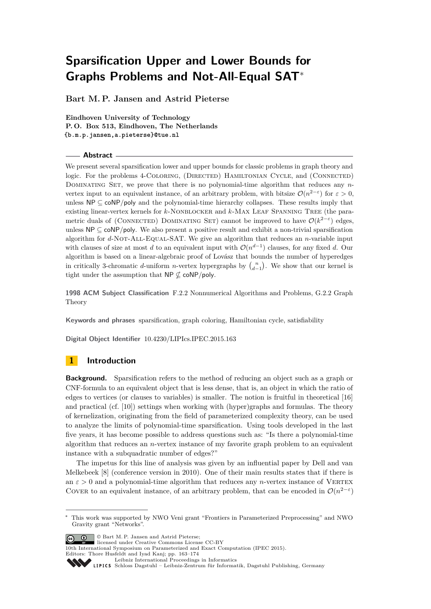**Bart M. P. Jansen and Astrid Pieterse**

**Eindhoven University of Technology P. O. Box 513, Eindhoven, The Netherlands {b.m.p.jansen,a.pieterse}@tue.nl**

#### **Abstract**

We present several sparsification lower and upper bounds for classic problems in graph theory and logic. For the problems 4-COLORING, (DIRECTED) HAMILTONIAN CYCLE, and (CONNECTED) DOMINATING SET, we prove that there is no polynomial-time algorithm that reduces any *n*vertex input to an equivalent instance, of an arbitrary problem, with bitsize  $\mathcal{O}(n^{2-\epsilon})$  for  $\varepsilon > 0$ , unless  $\mathsf{NP} \subseteq \mathsf{coNP/poly}$  and the polynomial-time hierarchy collapses. These results imply that existing linear-vertex kernels for *k*-NONBLOCKER and *k*-MAX LEAF SPANNING TREE (the parametric duals of (CONNECTED) DOMINATING SET) cannot be improved to have  $\mathcal{O}(k^{2-\varepsilon})$  edges, unless  $\mathsf{NP} \subseteq \mathsf{coNP/poly}$ . We also present a positive result and exhibit a non-trivial sparsification algorithm for *d*-NOT-ALL-EQUAL-SAT. We give an algorithm that reduces an *n*-variable input with clauses of size at most *d* to an equivalent input with  $\mathcal{O}(n^{d-1})$  clauses, for any fixed *d*. Our algorithm is based on a linear-algebraic proof of Lovász that bounds the number of hyperedges in critically 3-chromatic *d*-uniform *n*-vertex hypergraphs by  $\binom{n}{d-1}$ . We show that our kernel is tight under the assumption that  $NP \nsubseteq \text{coNP/poly}.$ 

**1998 ACM Subject Classification** F.2.2 Nonnumerical Algorithms and Problems, G.2.2 Graph Theory

**Keywords and phrases** sparsification, graph coloring, Hamiltonian cycle, satisfiability

**Digital Object Identifier** [10.4230/LIPIcs.IPEC.2015.163](http://dx.doi.org/10.4230/LIPIcs.IPEC.2015.163)

# **1 Introduction**

**Background.** Sparsification refers to the method of reducing an object such as a graph or CNF-formula to an equivalent object that is less dense, that is, an object in which the ratio of edges to vertices (or clauses to variables) is smaller. The notion is fruitful in theoretical [\[16\]](#page-11-0) and practical (cf. [\[10\]](#page-11-1)) settings when working with (hyper)graphs and formulas. The theory of kernelization, originating from the field of parameterized complexity theory, can be used to analyze the limits of polynomial-time sparsification. Using tools developed in the last five years, it has become possible to address questions such as: "Is there a polynomial-time algorithm that reduces an *n*-vertex instance of my favorite graph problem to an equivalent instance with a subquadratic number of edges?"

The impetus for this line of analysis was given by an influential paper by Dell and van Melkebeek [\[8\]](#page-11-2) (conference version in 2010). One of their main results states that if there is an  $\varepsilon > 0$  and a polynomial-time algorithm that reduces any *n*-vertex instance of VERTEX COVER to an equivalent instance, of an arbitrary problem, that can be encoded in  $\mathcal{O}(n^{2-\epsilon})$ 

© Bart M. P. Jansen and Astrid Pieterse;

10th International Symposium on Parameterized and Exact Computation (IPEC 2015). Editors: Thore Husfeldt and Iyad Kanj; pp. 163[–174](#page-11-3)

[Leibniz International Proceedings in Informatics](http://www.dagstuhl.de/lipics/) Leibniz international ruse einigs in missimosischen Publishing, Germany<br>LIPICS [Schloss Dagstuhl – Leibniz-Zentrum für Informatik, Dagstuhl Publishing, Germany](http://www.dagstuhl.de)

<sup>∗</sup> This work was supported by NWO Veni grant "Frontiers in Parameterized Preprocessing" and NWO Gravity grant "Networks".

licensed under Creative Commons License CC-BY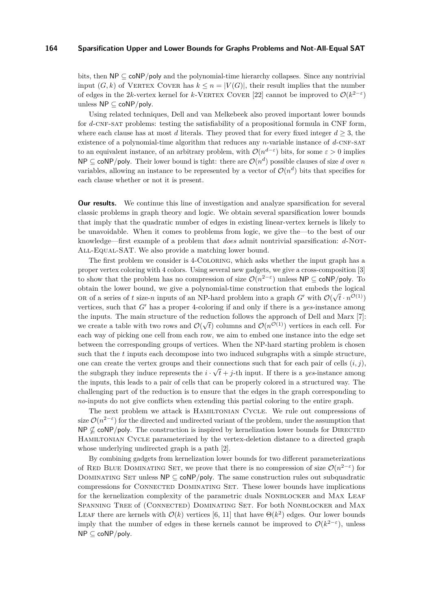bits, then  $NP \subseteq \text{coNP}/\text{poly}$  and the polynomial-time hierarchy collapses. Since any nontrivial input  $(G, k)$  of VERTEX COVER has  $k \leq n = |V(G)|$ , their result implies that the number of edges in the 2*k*-vertex kernel for *k*-VERTEX COVER [\[22\]](#page-11-4) cannot be improved to  $\mathcal{O}(k^{2-\epsilon})$ unless NP ⊆ coNP*/*poly.

Using related techniques, Dell and van Melkebeek also proved important lower bounds for *d*-CNF-SAT problems: testing the satisfiability of a propositional formula in CNF form, where each clause has at most *d* literals. They proved that for every fixed integer  $d \geq 3$ , the existence of a polynomial-time algorithm that reduces any *n*-variable instance of *d*-CNF-SAT to an equivalent instance, of an arbitrary problem, with  $\mathcal{O}(n^{d-\varepsilon})$  bits, for some  $\varepsilon > 0$  implies  $\mathsf{NP} \subseteq \mathsf{coNP/poly}.$  Their lower bound is tight: there are  $\mathcal{O}(n^d)$  possible clauses of size *d* over *n* variables, allowing an instance to be represented by a vector of  $\mathcal{O}(n^d)$  bits that specifies for each clause whether or not it is present.

**Our results.** We continue this line of investigation and analyze sparsification for several classic problems in graph theory and logic. We obtain several sparsification lower bounds that imply that the quadratic number of edges in existing linear-vertex kernels is likely to be unavoidable. When it comes to problems from logic, we give the—to the best of our knowledge—first example of a problem that *does* admit nontrivial sparsification: *d*-Not-All-Equal-SAT. We also provide a matching lower bound.

The first problem we consider is 4-Coloring, which asks whether the input graph has a proper vertex coloring with 4 colors. Using several new gadgets, we give a cross-composition [\[3\]](#page-11-5) to show that the problem has no compression of size  $\mathcal{O}(n^{2-\epsilon})$  unless NP ⊆ coNP/poly. To obtain the lower bound, we give a polynomial-time construction that embeds the logical  $\mathcal{O}(1)$ OR of a series of t size-n inputs of an NP-hard problem into a graph  $G'$  with  $\mathcal{O}(\sqrt{t} \cdot n^{\mathcal{O}(1)})$ vertices, such that  $G'$  has a proper 4-coloring if and only if there is a *yes*-instance among the inputs. The main structure of the reduction follows the approach of Dell and Marx [\[7\]](#page-11-6): we create a table with two rows and  $\mathcal{O}(\sqrt{t})$  columns and  $\mathcal{O}(n^{\mathcal{O}(1)})$  vertices in each cell. For each way of picking one cell from each row, we aim to embed one instance into the edge set between the corresponding groups of vertices. When the NP-hard starting problem is chosen such that the *t* inputs each decompose into two induced subgraphs with a simple structure, one can create the vertex groups and their connections such that for each pair of cells  $(i, j)$ , the subgraph they induce represents the  $i \cdot \sqrt{t} + j$ -th input. If there is a *yes*-instance among the inputs, this leads to a pair of cells that can be properly colored in a structured way. The challenging part of the reduction is to ensure that the edges in the graph corresponding to *no*-inputs do not give conflicts when extending this partial coloring to the entire graph.

The next problem we attack is Hamiltonian Cycle. We rule out compressions of size  $\mathcal{O}(n^{2-\varepsilon})$  for the directed and undirected variant of the problem, under the assumption that  $NP \nsubseteq \text{coNP/poly}$ . The construction is inspired by kernelization lower bounds for DIRECTED Hamiltonian Cycle parameterized by the vertex-deletion distance to a directed graph whose underlying undirected graph is a path [\[2\]](#page-11-7).

By combining gadgets from kernelization lower bounds for two different parameterizations of RED BLUE DOMINATING SET, we prove that there is no compression of size  $\mathcal{O}(n^{2-\epsilon})$  for DOMINATING SET unless  $NP \subseteq \text{coNP/poly}$ . The same construction rules out subquadratic compressions for Connected Dominating Set. These lower bounds have implications for the kernelization complexity of the parametric duals NONBLOCKER and MAX LEAF Spanning Tree of (Connected) Dominating Set. For both Nonblocker and Max LEAF there are kernels with  $\mathcal{O}(k)$  vertices [\[6,](#page-11-8) [11\]](#page-11-9) that have  $\Theta(k^2)$  edges. Our lower bounds imply that the number of edges in these kernels cannot be improved to  $\mathcal{O}(k^{2-\epsilon})$ , unless NP ⊆ coNP*/*poly.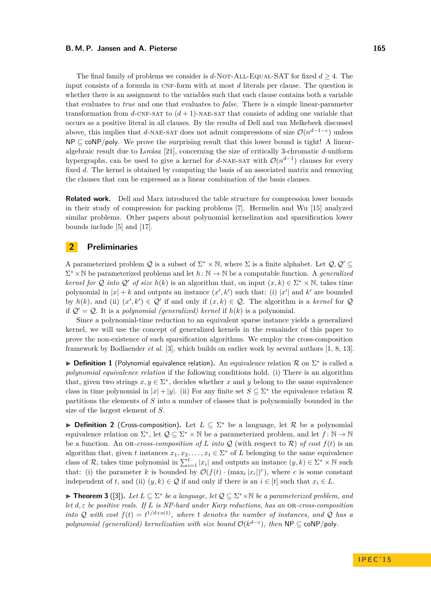#### **B. M. P. Jansen and A. Pieterse 165 165**

The final family of problems we consider is  $d$ -NOT-ALL-EQUAL-SAT for fixed  $d \geq 4$ . The input consists of a formula in CNF-form with at most *d* literals per clause. The question is whether there is an assignment to the variables such that each clause contains both a variable that evaluates to *true* and one that evaluates to *false*. There is a simple linear-parameter transformation from  $d$ -CNF-SAT to  $(d+1)$ -NAE-SAT that consists of adding one variable that occurs as a positive literal in all clauses. By the results of Dell and van Melkebeek discussed above, this implies that *d*-NAE-SAT does not admit compressions of size  $\mathcal{O}(n^{d-1-\epsilon})$  unless  $NP \subset \text{coNP/poly}$ . We prove the surprising result that this lower bound is tight! A linearalgebraic result due to Lovász [\[21\]](#page-11-10), concerning the size of critically 3-chromatic *d*-uniform hypergraphs, can be used to give a kernel for *d*-NAE-SAT with  $\mathcal{O}(n^{d-1})$  clauses for every fixed *d*. The kernel is obtained by computing the basis of an associated matrix and removing the clauses that can be expressed as a linear combination of the basis clauses.

**Related work.** Dell and Marx introduced the table structure for compression lower bounds in their study of compression for packing problems [\[7\]](#page-11-6). Hermelin and Wu [\[15\]](#page-11-11) analyzed similar problems. Other papers about polynomial kernelization and sparsification lower bounds include [\[5\]](#page-11-12) and [\[17\]](#page-11-13).

## **2 Preliminaries**

A parameterized problem Q is a subset of  $\Sigma^* \times \mathbb{N}$ , where  $\Sigma$  is a finite alphabet. Let  $\mathcal{Q}, \mathcal{Q}' \subseteq$  $\Sigma^* \times \mathbb{N}$  be parameterized problems and let  $h: \mathbb{N} \to \mathbb{N}$  be a computable function. A *generalized kernel for* Q *into* Q' of size  $h(k)$  is an algorithm that, on input  $(x, k) \in \Sigma^* \times \mathbb{N}$ , takes time polynomial in  $|x| + k$  and outputs an instance  $(x', k')$  such that: (i)  $|x'|$  and  $k'$  are bounded by  $h(k)$ , and (ii)  $(x', k') \in \mathcal{Q}'$  if and only if  $(x, k) \in \mathcal{Q}$ . The algorithm is a *kernel* for  $\mathcal{Q}$ if  $Q' = Q$ . It is a *polynomial (generalized) kernel* if  $h(k)$  is a polynomial.

Since a polynomial-time reduction to an equivalent sparse instance yields a generalized kernel, we will use the concept of generalized kernels in the remainder of this paper to prove the non-existence of such sparsification algorithms. We employ the cross-composition framework by Bodlaender *et al.* [\[3\]](#page-11-5), which builds on earlier work by several authors [\[1,](#page-11-14) [8,](#page-11-2) [13\]](#page-11-15).

**▶ Definition 1** (Polynomial equivalence relation). An equivalence relation  $\mathcal{R}$  on  $\Sigma^*$  is called a *polynomial equivalence relation* if the following conditions hold. (i) There is an algorithm that, given two strings  $x, y \in \Sigma^*$ , decides whether x and y belong to the same equivalence class in time polynomial in  $|x| + |y|$ . (ii) For any finite set  $S \subseteq \Sigma^*$  the equivalence relation R partitions the elements of *S* into a number of classes that is polynomially bounded in the size of the largest element of *S*.

<span id="page-2-0"></span>**Definition 2** (Cross-composition). Let  $L \subseteq \Sigma^*$  be a language, let R be a polynomial equivalence relation on  $\Sigma^*$ , let  $\mathcal{Q} \subseteq \Sigma^* \times \mathbb{N}$  be a parameterized problem, and let  $f : \mathbb{N} \to \mathbb{N}$ be a function. An on-*cross-composition of L into*  $Q$  (with respect to  $R$ ) *of cost*  $f(t)$  is an algorithm that, given *t* instances  $x_1, x_2, \ldots, x_t \in \Sigma^*$  of *L* belonging to the same equivalence class of R, takes time polynomial in  $\sum_{i=1}^{t} |x_i|$  and outputs an instance  $(y, k) \in \sum^* \times \mathbb{N}$  such that: (i) the parameter *k* is bounded by  $\mathcal{O}(f(t) \cdot (\max_i |x_i|)^c)$ , where *c* is some constant independent of *t*, and (ii)  $(y, k) \in \mathcal{Q}$  if and only if there is an  $i \in [t]$  such that  $x_i \in L$ .

<span id="page-2-1"></span>**► Theorem 3** ([\[3\]](#page-11-5)). Let  $L \subseteq \Sigma^*$  be a language, let  $\mathcal{Q} \subseteq \Sigma^* \times \mathbb{N}$  be a parameterized problem, and *let d, ε be positive reals. If L is NP-hard under Karp reductions, has an* or*-cross-composition into* Q with cost  $f(t) = t^{1/(d+o(1))}$ , where *t* denotes the number of instances, and Q has a *polynomial (generalized) kernelization with size bound*  $\mathcal{O}(k^{d-\varepsilon})$ , then NP  $\subseteq$  coNP/poly.

**I P E C ' 1 5**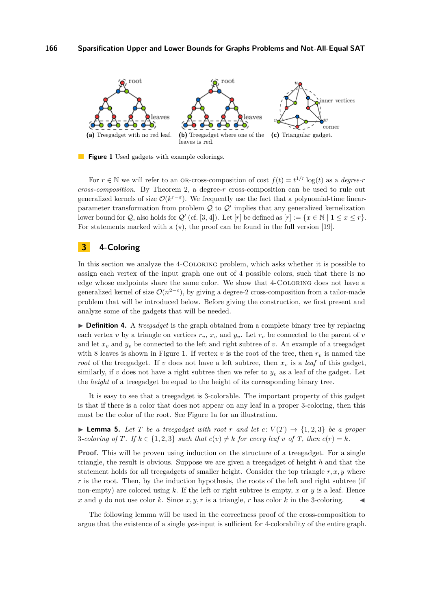<span id="page-3-1"></span><span id="page-3-0"></span>

<span id="page-3-2"></span>**Figure 1** Used gadgets with example colorings.

For  $r \in \mathbb{N}$  we will refer to an OR-cross-composition of cost  $f(t) = t^{1/r} \log(t)$  as a *degree-r cross-composition*. By Theorem [2,](#page-2-0) a degree-*r* cross-composition can be used to rule out generalized kernels of size  $\mathcal{O}(k^{r-\varepsilon})$ . We frequently use the fact that a polynomial-time linearparameter transformation from problem  $\mathcal Q$  to  $\mathcal Q'$  implies that any generalized kernelization lower bound for  $Q$ , also holds for  $Q'$  (cf. [\[3,](#page-11-5) [4\]](#page-11-16)). Let [*r*] be defined as  $[r] := \{x \in \mathbb{N} \mid 1 \le x \le r\}.$ For statements marked with a  $(\star)$ , the proof can be found in the full version [\[19\]](#page-11-17).

### **3 4-Coloring**

In this section we analyze the 4-Coloring problem, which asks whether it is possible to assign each vertex of the input graph one out of 4 possible colors, such that there is no edge whose endpoints share the same color. We show that 4-Coloring does not have a generalized kernel of size  $\mathcal{O}(n^{2-\epsilon})$ , by giving a degree-2 cross-composition from a tailor-made problem that will be introduced below. Before giving the construction, we first present and analyze some of the gadgets that will be needed.

► **Definition 4.** A *treegadget* is the graph obtained from a complete binary tree by replacing each vertex *v* by a triangle on vertices  $r_v$ ,  $x_v$  and  $y_v$ . Let  $r_v$  be connected to the parent of *v* and let  $x_v$  and  $y_v$  be connected to the left and right subtree of v. An example of a treegadget with 8 leaves is shown in Figure [1.](#page-3-0) If vertex  $v$  is the root of the tree, then  $r<sub>v</sub>$  is named the *root* of the treegadget. If *v* does not have a left subtree, then  $x_v$  is a *leaf* of this gadget, similarly, if  $v$  does not have a right subtree then we refer to  $y_v$  as a leaf of the gadget. Let the *height* of a treegadget be equal to the height of its corresponding binary tree.

It is easy to see that a treegadget is 3-colorable. The important property of this gadget is that if there is a color that does not appear on any leaf in a proper 3-coloring, then this must be the color of the root. See Figure [1a](#page-3-1) for an illustration.

<span id="page-3-3"></span>**I Lemma 5.** Let T be a treegadget with root r and let  $c: V(T) \rightarrow \{1,2,3\}$  be a proper 3*-coloring of*  $T$ *. If*  $k \in \{1,2,3\}$  *such that*  $c(v) \neq k$  *for every leaf*  $v$  *of*  $T$ *, then*  $c(r) = k$ *.* 

**Proof.** This will be proven using induction on the structure of a treegadget. For a single triangle, the result is obvious. Suppose we are given a treegadget of height *h* and that the statement holds for all treegadgets of smaller height. Consider the top triangle *r, x, y* where *r* is the root. Then, by the induction hypothesis, the roots of the left and right subtree (if non-empty) are colored using *k*. If the left or right subtree is empty, *x* or *y* is a leaf. Hence  $x$  and  $y$  do not use color  $k$ . Since  $x, y, r$  is a triangle,  $r$  has color  $k$  in the 3-coloring.

The following lemma will be used in the correctness proof of the cross-composition to argue that the existence of a single *yes*-input is sufficient for 4-colorability of the entire graph.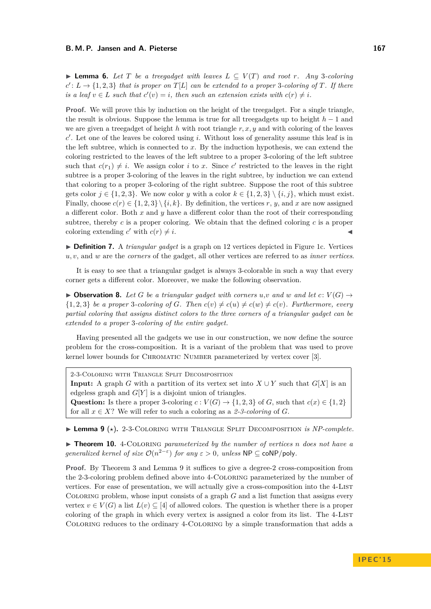<span id="page-4-2"></span>**► Lemma 6.** Let  $T$  be a treegadget with leaves  $L \subseteq V(T)$  and root  $r$ *. Any* 3-coloring  $c': L \to \{1, 2, 3\}$  *that is proper on*  $T[L]$  *can be extended to a proper* 3*-coloring of*  $T$ *. If there is a leaf*  $v \in L$  *such that*  $c'(v) = i$ , then such an extension exists with  $c(r) \neq i$ .

**Proof.** We will prove this by induction on the height of the treegadget. For a single triangle, the result is obvious. Suppose the lemma is true for all treegadgets up to height *h* − 1 and we are given a treegadget of height *h* with root triangle *r, x, y* and with coloring of the leaves *c* 0 . Let one of the leaves be colored using *i*. Without loss of generality assume this leaf is in the left subtree, which is connected to *x*. By the induction hypothesis, we can extend the coloring restricted to the leaves of the left subtree to a proper 3-coloring of the left subtree such that  $c(r_1) \neq i$ . We assign color *i* to *x*. Since *c*' restricted to the leaves in the right subtree is a proper 3-coloring of the leaves in the right subtree, by induction we can extend that coloring to a proper 3-coloring of the right subtree. Suppose the root of this subtree gets color  $j \in \{1, 2, 3\}$ . We now color *y* with a color  $k \in \{1, 2, 3\} \setminus \{i, j\}$ , which must exist. Finally, choose  $c(r) \in \{1, 2, 3\} \setminus \{i, k\}$ . By definition, the vertices *r*, *y*, and *x* are now assigned a different color. Both *x* and *y* have a different color than the root of their corresponding subtree, thereby *c* is a proper coloring. We obtain that the defined coloring *c* is a proper coloring extending  $c'$  with  $c(r) \neq i$ .

I **Definition 7.** A *triangular gadget* is a graph on 12 vertices depicted in Figure [1c.](#page-3-2) Vertices *u, v*, and *w* are the *corners* of the gadget, all other vertices are referred to as *inner vertices*.

It is easy to see that a triangular gadget is always 3-colorable in such a way that every corner gets a different color. Moreover, we make the following observation.

<span id="page-4-1"></span> $\triangleright$  **Observation 8.** Let G be a triangular gadget with corners  $u,v$  and  $w$  and let  $c: V(G) \rightarrow$  $\{1,2,3\}$  *be a proper* 3*-coloring of G. Then*  $c(v) \neq c(u) \neq c(v)$ . Furthermore, every *partial coloring that assigns distinct colors to the three corners of a triangular gadget can be extended to a proper* 3*-coloring of the entire gadget.*

Having presented all the gadgets we use in our construction, we now define the source problem for the cross-composition. It is a variant of the problem that was used to prove kernel lower bounds for CHROMATIC NUMBER parameterized by vertex cover [\[3\]](#page-11-5).

2-3-Coloring with Triangle Split Decomposition **Input:** A graph *G* with a partition of its vertex set into  $X \cup Y$  such that  $G[X]$  is an edgeless graph and  $G[Y]$  is a disjoint union of triangles. Question: Is there a proper 3-coloring  $c: V(G) \to \{1, 2, 3\}$  of *G*, such that  $c(x) \in \{1, 2\}$ for all  $x \in X$ ? We will refer to such a coloring as a 2-3-coloring of G.

<span id="page-4-0"></span>► Lemma 9 ( $\star$ ). 2-3-COLORING WITH TRIANGLE SPLIT DECOMPOSITION *is NP-complete.* 

<span id="page-4-3"></span>I **Theorem 10.** 4-Coloring *parameterized by the number of vertices n does not have a generalized kernel of size*  $O(n^{2-\epsilon})$  *for any*  $\epsilon > 0$ *, unless*  $NP \subseteq \text{coNP/poly}$ *.* 

**Proof.** By Theorem [3](#page-2-1) and Lemma [9](#page-4-0) it suffices to give a degree-2 cross-composition from the 2-3-coloring problem defined above into 4-Coloring parameterized by the number of vertices. For ease of presentation, we will actually give a cross-composition into the 4-List Coloring problem, whose input consists of a graph *G* and a list function that assigns every vertex  $v \in V(G)$  a list  $L(v) \subseteq [4]$  of allowed colors. The question is whether there is a proper coloring of the graph in which every vertex is assigned a color from its list. The 4-LIST Coloring reduces to the ordinary 4-Coloring by a simple transformation that adds a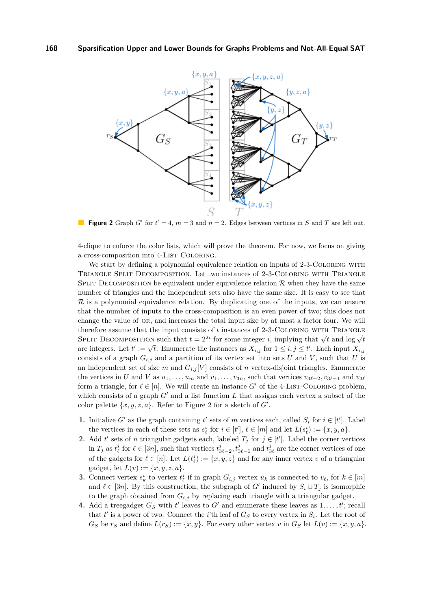<span id="page-5-0"></span>

**Figure 2** Graph *G*<sup> $\prime$ </sup> for  $t' = 4$ ,  $m = 3$  and  $n = 2$ . Edges between vertices in *S* and *T* are left out.

4-clique to enforce the color lists, which will prove the theorem. For now, we focus on giving a cross-composition into 4-LIST COLORING.

We start by defining a polynomial equivalence relation on inputs of 2-3-COLORING WITH Triangle Split Decomposition. Let two instances of 2-3-Coloring with Triangle SPLIT DECOMPOSITION be equivalent under equivalence relation  $\mathcal R$  when they have the same number of triangles and the independent sets also have the same size. It is easy to see that  $\mathcal R$  is a polynomial equivalence relation. By duplicating one of the inputs, we can ensure that the number of inputs to the cross-composition is an even power of two; this does not change the value of or, and increases the total input size by at most a factor four. We will therefore assume that the input consists of t instances of 2-3-COLORING WITH TRIANGLE SPLIT DECOMPOSITION such that  $t = 2^{2i}$  for some integer *i*, implying that  $\sqrt{t}$  and log  $\sqrt{t}$ spectral DECOMPOSITION such that  $t = 2$  for some integer *t*, implying that  $\sqrt{t}$  and  $\log \sqrt{t}$  are integers. Let  $t' := \sqrt{t}$ . Enumerate the instances as  $X_{i,j}$  for  $1 \le i, j \le t'$ . Each input  $X_{i,j}$ consists of a graph  $G_{i,j}$  and a partition of its vertex set into sets *U* and *V*, such that *U* is an independent set of size *m* and  $G_{i,j}[V]$  consists of *n* vertex-disjoint triangles. Enumerate the vertices in *U* and *V* as  $u_1, \ldots, u_m$  and  $v_1, \ldots, v_{3n}$ , such that vertices  $v_{3\ell-2}, v_{3\ell-1}$  and  $v_{3\ell}$ form a triangle, for  $\ell \in [n]$ . We will create an instance *G'* of the 4-LIST-COLORING problem, which consists of a graph  $G'$  and a list function  $L$  that assigns each vertex a subset of the color palette  $\{x, y, z, a\}$ . Refer to Figure [2](#page-5-0) for a sketch of  $G'$ .

- **1.** Initialize *G*<sup> $\prime$ </sup> as the graph containing *t*<sup> $\prime$ </sup> sets of *m* vertices each, called *S<sub>i</sub>* for  $i \in [t']$ . Label the vertices in each of these sets as  $s^i_\ell$  for  $i \in [t']$ ,  $\ell \in [m]$  and let  $L(s^i_\ell) := \{x, y, a\}$ .
- **2.** Add *t*' sets of *n* triangular gadgets each, labeled  $T_j$  for  $j \in [t']$ . Label the corner vertices in  $T_j$  as  $t^j_\ell$  for  $\ell \in [3n]$ , such that vertices  $t^j_{3\ell-2}, t^j_{3\ell-1}$  and  $t^j_{3\ell}$  are the corner vertices of one of the gadgets for  $\ell \in [n]$ . Let  $L(t^j_\ell) := \{x, y, z\}$  and for any inner vertex *v* of a triangular gadget, let  $L(v) := \{x, y, z, a\}.$
- **3.** Connect vertex  $s_k^i$  to vertex  $t_\ell^j$  if in graph  $G_{i,j}$  vertex  $u_k$  is connected to  $v_\ell$ , for  $k \in [m]$ and  $\ell \in [3n]$ . By this construction, the subgraph of *G'* induced by  $S_i \cup T_j$  is isomorphic to the graph obtained from  $G_{i,j}$  by replacing each triangle with a triangular gadget.
- **4.** Add a treegadget  $G_S$  with  $t'$  leaves to  $G'$  and enumerate these leaves as  $1, \ldots, t'$ ; recall that  $t'$  is a power of two. Connect the *i*'th leaf of  $G_S$  to every vertex in  $S_i$ . Let the root of  $G_S$  be  $r_S$  and define  $L(r_S) := \{x, y\}$ . For every other vertex *v* in  $G_S$  let  $L(v) := \{x, y, a\}$ .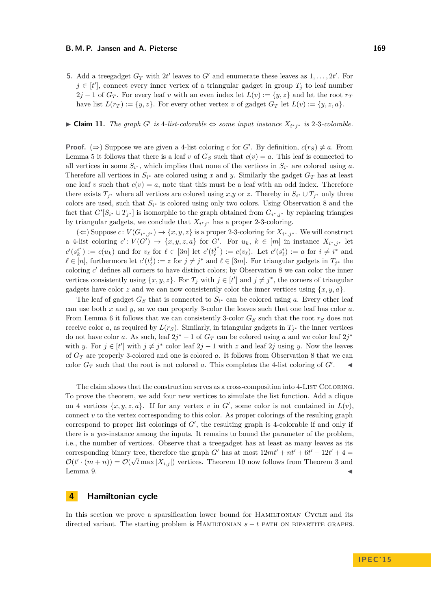#### **B. M. P. Jansen and A. Pieterse 169**

**5.** Add a treegadget  $G_T$  with  $2t'$  leaves to  $G'$  and enumerate these leaves as  $1, \ldots, 2t'$ . For  $j \in [t']$ , connect every inner vertex of a triangular gadget in group  $T_j$  to leaf number  $2j - 1$  of  $G_T$ . For every leaf *v* with an even index let  $L(v) := \{y, z\}$  and let the root  $r_T$ have list  $L(r_T) := \{y, z\}$ . For every other vertex *v* of gadget  $G_T$  let  $L(v) := \{y, z, a\}$ .

## ► **Claim 11.** *The graph G*<sup> $\prime$ </sup> *is* 4*-list-colorable*  $\Leftrightarrow$  *some input instance*  $X_{i^*j^*}$  *is* 2*-*3*-colorable.*

**Proof.** ( $\Rightarrow$ ) Suppose we are given a 4-list coloring *c* for *G'*. By definition,  $c(r_S) \neq a$ . From Lemma [5](#page-3-3) it follows that there is a leaf *v* of  $G_S$  such that  $c(v) = a$ . This leaf is connected to all vertices in some  $S_{i^*}$ , which implies that none of the vertices in  $S_{i^*}$  are colored using *a*. Therefore all vertices in  $S_{i^*}$  are colored using *x* and *y*. Similarly the gadget  $G_T$  has at least one leaf *v* such that  $c(v) = a$ , note that this must be a leaf with an odd index. Therefore there exists  $T_{j^*}$  where all vertices are colored using  $x,y$  or  $z$ . Thereby in  $S_{i^*} \cup T_{j^*}$  only three colors are used, such that *S<sup>i</sup>* <sup>∗</sup> is colored using only two colors. Using Observation [8](#page-4-1) and the fact that  $G'[S_{i^*} \cup T_{j^*}]$  is isomorphic to the graph obtained from  $G_{i^*,j^*}$  by replacing triangles by triangular gadgets, we conclude that  $X_{i^*j^*}$  has a proper 2-3-coloring.

(←) Suppose  $c: V(G_{i^*,j^*})$  →  $\{x, y, z\}$  is a proper 2-3-coloring for  $X_{i^*,j^*}$ . We will construct a 4-list coloring  $c' : V(G') \to \{x, y, z, a\}$  for  $G'$ . For  $u_k, k \in [m]$  in instance  $X_{i^*, j^*}$  let  $c'(s_k^{i^*}) := c(u_k)$  and for  $v_\ell$  for  $\ell \in [3n]$  let  $c'(t_\ell^{j^*})$  $\binom{j^*}{\ell} := c(v_{\ell}).$  Let  $c'(s_{\ell}^i) := a$  for  $i \neq i^*$  and *l* ∈ [*n*], furthermore let  $c'(t_{\ell}^j) := z$  for  $j \neq j^*$  and  $\ell \in [3m]$ . For triangular gadgets in  $T_{j^*}$  the coloring *c*' defines all corners to have distinct colors; by Observation [8](#page-4-1) we can color the inner vertices consistently using  $\{x, y, z\}$ . For  $T_j$  with  $j \in [t']$  and  $j \neq j^*$ , the corners of triangular gadgets have color *z* and we can now consistently color the inner vertices using  $\{x, y, a\}$ .

The leaf of gadget  $G_S$  that is connected to  $S_{i^*}$  can be colored using a. Every other leaf can use both *x* and *y*, so we can properly 3-color the leaves such that one leaf has color *a*. From Lemma [6](#page-4-2) it follows that we can consistently 3-color *G<sup>S</sup>* such that the root *r<sup>S</sup>* does not receive color *a*, as required by  $L(r<sub>S</sub>)$ . Similarly, in triangular gadgets in  $T<sub>j</sub>$ <sup>\*</sup> the inner vertices do not have color *a*. As such, leaf  $2j^* - 1$  of  $G_T$  can be colored using *a* and we color leaf  $2j^*$ with *y*. For  $j \in [t']$  with  $j \neq j^*$  color leaf  $2j - 1$  with *z* and leaf  $2j$  using *y*. Now the leaves of *G<sup>T</sup>* are properly 3-colored and one is colored *a*. It follows from Observation [8](#page-4-1) that we can color  $G_T$  such that the root is not colored *a*. This completes the 4-list coloring of  $G'$ .

The claim shows that the construction serves as a cross-composition into 4-LIST COLORING. To prove the theorem, we add four new vertices to simulate the list function. Add a clique on 4 vertices  $\{x, y, z, a\}$ . If for any vertex *v* in *G'*, some color is not contained in  $L(v)$ , connect *v* to the vertex corresponding to this color. As proper colorings of the resulting graph correspond to proper list colorings of  $G'$ , the resulting graph is 4-colorable if and only if there is a *yes*-instance among the inputs. It remains to bound the parameter of the problem, i.e., the number of vertices. Observe that a treegadget has at least as many leaves as its corresponding binary tree, therefore the graph *G*<sup>0</sup> has at most  $12mt' + nt' + 6t' + 12t' + 4 =$  $\mathcal{O}(t' \cdot (m+n)) = \mathcal{O}(\sqrt{t} \max |X_{i,j}|)$  vertices. Theorem [10](#page-4-3) now follows from Theorem [3](#page-2-1) and Lemma [9.](#page-4-0)  $\triangleleft$ 

## **4 Hamiltonian cycle**

In this section we prove a sparsification lower bound for HAMILTONIAN CYCLE and its directed variant. The starting problem is Hamiltonian *s* − *t* path on bipartite graphs.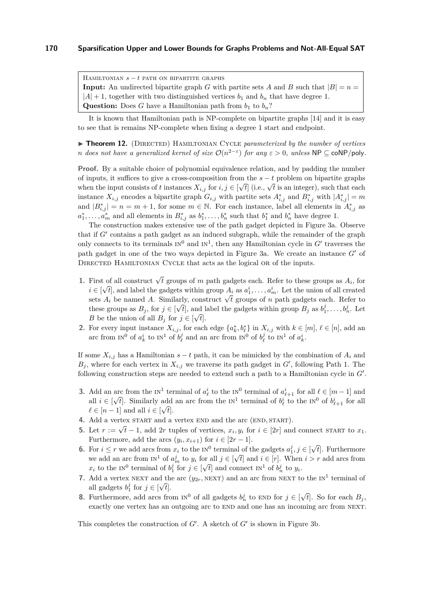HAMILTONIAN  $s - t$  path on bipartite graphs **Input:** An undirected bipartite graph *G* with partite sets *A* and *B* such that  $|B| = n =$  $|A| + 1$ , together with two distinguished vertices  $b_1$  and  $b_n$  that have degree 1. **Question:** Does *G* have a Hamiltonian path from  $b_1$  to  $b_n$ ?

It is known that Hamiltonian path is NP-complete on bipartite graphs [\[14\]](#page-11-18) and it is easy to see that is remains NP-complete when fixing a degree 1 start and endpoint.

▶ **Theorem 12.** (DIRECTED) HAMILTONIAN CYCLE *parameterized by the number of vertices n* does not have a generalized kernel of size  $O(n^{2-\varepsilon})$  for any  $\varepsilon > 0$ , unless NP  $\subseteq$  coNP/poly.

**Proof.** By a suitable choice of polynomial equivalence relation, and by padding the number of inputs, it suffices to give a cross-composition from the  $s - t$  problem on bipartite graphs when the input consists of *t* instances  $X_{i,j}$  for  $i, j \in [\sqrt{t}]$  (i.e.,  $\sqrt{t}$  is an integer), such that each instance  $X_{i,j}$  encodes a bipartite graph  $G_{i,j}$  with partite sets  $A_{i,j}^*$  and  $B_{i,j}^*$  with  $|A_{i,j}^*| = m$ and  $|B^*_{i,j}| = n = m + 1$ , for some  $m \in \mathbb{N}$ . For each instance, label all elements in  $A^*_{i,j}$  as  $a_1^*, \ldots, a_m^*$  and all elements in  $B_{i,j}^*$  as  $b_1^*, \ldots, b_n^*$  such that  $b_1^*$  and  $b_n^*$  have degree 1.

The construction makes extensive use of the path gadget depicted in Figure [3a.](#page-8-0) Observe that if  $G'$  contains a path gadget as an induced subgraph, while the remainder of the graph only connects to its terminals  $N^0$  and  $N^1$ , then any Hamiltonian cycle in  $G'$  traverses the path gadget in one of the two ways depicted in Figure [3a.](#page-8-0) We create an instance  $G'$  of DIRECTED HAMILTONIAN CYCLE that acts as the logical OR of the inputs.

- **1.** First of all construct  $\sqrt{t}$  groups of *m* path gadgets each. Refer to these groups as  $A_i$ , for  $i \in [\sqrt{t}]$ , and label the gadgets within group  $A_i$  as  $a_1^i, \ldots, a_m^i$ . Let the union of all created  $\mathbf{z} \in [\mathbf{v}_i]$ , and label the gaugets within group  $A_i$  as  $a_1, \ldots, a_m$ . Let the union of an created sets  $A_i$  be named  $A$ . Similarly, construct  $\sqrt{t}$  groups of *n* path gadgets each. Refer to these groups as  $B_j$ , for  $j \in [\sqrt{t}]$ , and label the gadgets within group  $B_j$  as  $b_1^j, \ldots, b_n^j$ . Let *B* be the union of all  $B_j$  for  $j \in [\sqrt{t}]$ .
- **2.** For every input instance  $X_{i,j}$ , for each edge  $\{a_k^*, b_\ell^*\}$  in  $X_{i,j}$  with  $k \in [m], \ell \in [n]$ , add an arc from  $IN^0$  of  $a_k^i$  to  $IN^1$  of  $b_\ell^j$  and an arc from  $IN^0$  of  $b_\ell^j$  to  $IN^1$  of  $a_k^i$ .

If some  $X_{i,j}$  has a Hamiltonian  $s - t$  path, it can be mimicked by the combination of  $A_i$  and  $B_j$ , where for each vertex in  $X_{i,j}$  we traverse its path gadget in  $G'$ , following Path 1. The following construction steps are needed to extend such a path to a Hamiltonian cycle in  $G'$ .

- **3.** Add an arc from the  $IN^1$  terminal of  $a^i_\ell$  to the  $IN^0$  terminal of  $a^i_{\ell+1}$  for all  $\ell \in [m-1]$  and all  $i \in [\sqrt{t}]$ . Similarly add an arc from the  $N^1$  terminal of  $b^i_\ell$  to the  $N^0$  of  $b^i_{\ell+1}$  for all  $\ell \in [n-1]$  and all  $i \in [\sqrt{t}]$ .
- **4.** Add a vertex START and a vertex END and the arc (END, START).
- **5.** Let  $r := \sqrt{t} 1$ , add 2*r* tuples of vertices,  $x_i, y_i$  for  $i \in [2r]$  and connect start to  $x_1$ . Furthermore, add the arcs  $(y_i, x_{i+1})$  for  $i \in [2r-1]$ . √
- **6.** For  $i \leq r$  we add arcs from  $x_i$  to the  $N^0$  terminal of the gadgets  $a_1^j, j \in$ *t*]. Furthermore we add an arc from  $IN^1$  of  $a_m^j$  to  $y_i$  for all  $j \in [$ √ or all  $j \in [\sqrt{t}]$  and  $i \in [r]$ . When  $i > r$  add arcs from  $x_i$  to the IN<sup>0</sup> terminal of  $b_1^j$  for  $j \in [\sqrt{t}]$  and connect IN<sup>1</sup> of  $b_n^j$  to  $y_i$ .
- 7. Add a vertex NEXT and the arc  $(y_{2r}, \text{NEXT})$  and an arc from NEXT to the IN<sup>1</sup> terminal of all gadgets  $b_1^j$  for  $j \in [\sqrt{t}]$ .
- **8.** Furthermore, add arcs from  $IN^0$  of all gadgets  $b_n^j$  to END for  $j \in [\sqrt{a_n^j} \times b_n^j]$  $[t]$ . So for each  $B_j$ , exactly one vertex has an outgoing arc to END and one has an incoming arc from NEXT.

This completes the construction of  $G'$ . A sketch of  $G'$  is shown in Figure [3b.](#page-8-1)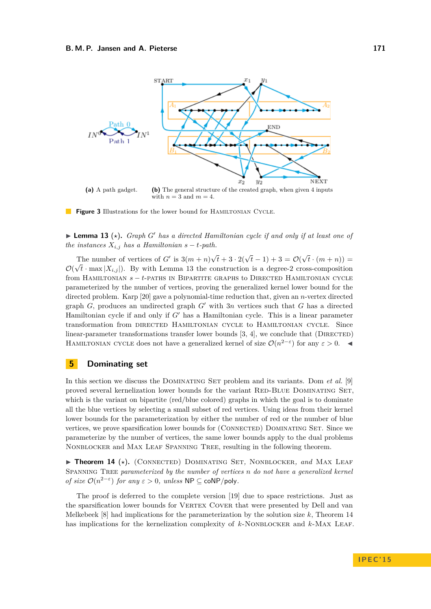<span id="page-8-0"></span>

<span id="page-8-1"></span>**(a)** A path gadget. **(b)** The general structure of the created graph, when given 4 inputs with  $n = 3$  and  $m = 4$ .

**Figure 3** Illustrations for the lower bound for HAMILTONIAN CYCLE.

<span id="page-8-2"></span>**Lemma 13** ( $\star$ ). *Graph G*<sup>*'*</sup> *has a directed Hamiltonian cycle if and only if at least one of the instances*  $X_{i,j}$  *has a Hamiltonian*  $s - t$ *-path.* 

The number of vertices of  $G'$  is  $3(m+n)$  $\sqrt{t} + 3 \cdot 2(\sqrt{t} - 1) + 3 = \mathcal{O}(\sqrt{t})$ √ The number of vertices of G' is  $3(m+n)\sqrt{t+3} \cdot 2(\sqrt{t-1})+3 = \mathcal{O}(\sqrt{t} \cdot (m+n)) =$  $\mathcal{O}(\sqrt{t} \cdot \max |X_{i,j}|)$ . By with Lemma [13](#page-8-2) the construction is a degree-2 cross-composition from HAMILTONIAN  $s - t$ -paths in Bipartite graphs to Directed Hamiltonian cycle parameterized by the number of vertices, proving the generalized kernel lower bound for the directed problem. Karp [\[20\]](#page-11-19) gave a polynomial-time reduction that, given an *n*-vertex directed graph  $G$ , produces an undirected graph  $G'$  with  $3n$  vertices such that  $G$  has a directed Hamiltonian cycle if and only if *G*<sup> $\prime$ </sup> has a Hamiltonian cycle. This is a linear parameter transformation from directed Hamiltonian cycle to Hamiltonian cycle. Since linear-parameter transformations transfer lower bounds  $[3, 4]$  $[3, 4]$  $[3, 4]$ , we conclude that (DIRECTED) HAMILTONIAN CYCLE does not have a generalized kernel of size  $\mathcal{O}(n^{2-\epsilon})$  for any  $\epsilon > 0$ .

## **5 Dominating set**

In this section we discuss the Dominating Set problem and its variants. Dom *et al.* [\[9\]](#page-11-20) proved several kernelization lower bounds for the variant RED-BLUE DOMINATING SET, which is the variant on bipartite (red/blue colored) graphs in which the goal is to dominate all the blue vertices by selecting a small subset of red vertices. Using ideas from their kernel lower bounds for the parameterization by either the number of red or the number of blue vertices, we prove sparsification lower bounds for (Connected) Dominating Set. Since we parameterize by the number of vertices, the same lower bounds apply to the dual problems Nonblocker and Max Leaf Spanning Tree, resulting in the following theorem.

<span id="page-8-3"></span>▶ Theorem 14 (\*). (CONNECTED) DOMINATING SET, NONBLOCKER, and MAX LEAF Spanning Tree *parameterized by the number of vertices n do not have a generalized kernel of size*  $\mathcal{O}(n^{2-\epsilon})$  *for any*  $\epsilon > 0$ *, unless*  $\mathsf{NP} \subseteq \mathsf{coNP/poly}$ *.* 

The proof is deferred to the complete version [\[19\]](#page-11-17) due to space restrictions. Just as the sparsification lower bounds for VERTEX COVER that were presented by Dell and van Melkebeek [\[8\]](#page-11-2) had implications for the parameterization by the solution size *k*, Theorem [14](#page-8-3) has implications for the kernelization complexity of *k*-NoNBLOCKER and *k*-MAX LEAF.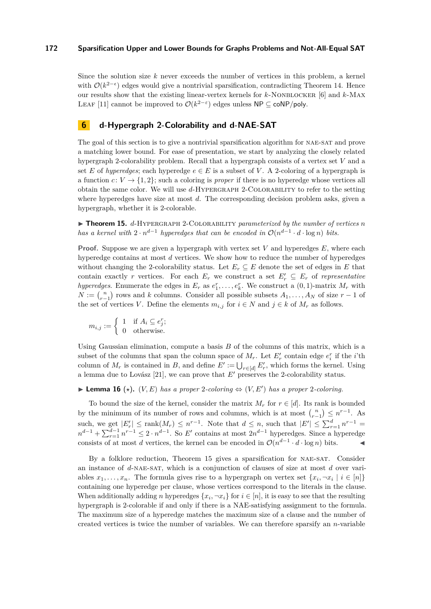Since the solution size *k* never exceeds the number of vertices in this problem, a kernel with  $\mathcal{O}(k^{2-\epsilon})$  edges would give a nontrivial sparsification, contradicting Theorem [14.](#page-8-3) Hence our results show that the existing linear-vertex kernels for *k*-Nonblocker [\[6\]](#page-11-8) and *k*-Max LEAF [\[11\]](#page-11-9) cannot be improved to  $\mathcal{O}(k^{2-\epsilon})$  edges unless NP  $\subseteq$  coNP/poly.

## **6 d-Hypergraph 2-Colorability and d-NAE-SAT**

The goal of this section is to give a nontrivial sparsification algorithm for NAE-SAT and prove a matching lower bound. For ease of presentation, we start by analyzing the closely related hypergraph 2-colorability problem. Recall that a hypergraph consists of a vertex set *V* and a set *E* of *hyperedges*; each hyperedge  $e \in E$  is a subset of *V*. A 2-coloring of a hypergraph is a function  $c: V \to \{1, 2\}$ ; such a coloring is *proper* if there is no hyperedge whose vertices all obtain the same color. We will use *d*-Hypergraph 2-Colorability to refer to the setting where hyperedges have size at most *d*. The corresponding decision problem asks, given a hypergraph, whether it is 2-colorable.

<span id="page-9-0"></span>▶ Theorem 15. *d*-HYPERGRAPH 2-COLORABILITY *parameterized by the number of vertices n has a kernel with*  $2 \cdot n^{d-1}$  *hyperedges that can be encoded in*  $\mathcal{O}(n^{d-1} \cdot d \cdot \log n)$  *bits.* 

**Proof.** Suppose we are given a hypergraph with vertex set *V* and hyperedges *E*, where each hyperedge contains at most *d* vertices. We show how to reduce the number of hyperedges without changing the 2-colorability status. Let  $E_r \subseteq E$  denote the set of edges in *E* that contain exactly *r* vertices. For each  $E_r$  we construct a set  $E'_r \subseteq E_r$  of *representative hyperedges.* Enumerate the edges in  $E_r$  as  $e_1^r, \ldots, e_k^r$ . We construct a  $(0, 1)$ -matrix  $M_r$  with  $N := \binom{n}{r-1}$  rows and *k* columns. Consider all possible subsets  $A_1, \ldots, A_N$  of size  $r-1$  of the set of vertices *V*. Define the elements  $m_{i,j}$  for  $i \in N$  and  $j \in k$  of  $M_r$  as follows.

$$
m_{i,j} := \begin{cases} 1 & \text{if } A_i \subseteq e_j^r; \\ 0 & \text{otherwise.} \end{cases}
$$

Using Gaussian elimination, compute a basis *B* of the columns of this matrix, which is a subset of the columns that span the column space of  $M_r$ . Let  $E'_r$  contain edge  $e_i^r$  if the *i*'th column of  $M_r$  is contained in *B*, and define  $E' := \bigcup_{r \in [d]} E'_r$ , which forms the kernel. Using a lemma due to Lovász [\[21\]](#page-11-10), we can prove that  $E'$  preserves the 2-colorability status.

## ▶ **Lemma 16** ( $\star$ ). (*V, E*) *has a proper* 2*-coloring*  $\Leftrightarrow$  (*V, E'*) *has a proper* 2*-coloring.*

To bound the size of the kernel, consider the matrix  $M_r$  for  $r \in [d]$ . Its rank is bounded by the minimum of its number of rows and columns, which is at most  $\binom{n}{r-1} \leq n^{r-1}$ . As such, we get  $|E'_r| \le \text{rank}(M_r) \le n^{r-1}$ . Note that  $d \le n$ , such that  $|E'| \le \sum_{r=1}^d n^{r-1} =$  $n^{d-1} + \sum_{r=1}^{d-1} n^{r-1} \leq 2 \cdot n^{d-1}$ . So *E*<sup> $\prime$ </sup> contains at most  $2n^{d-1}$  hyperedges. Since a hyperedge consists of at most *d* vertices, the kernel can be encoded in  $\mathcal{O}(n^{d-1} \cdot d \cdot \log n)$  bits.

By a folklore reduction, Theorem [15](#page-9-0) gives a sparsification for NAE-SAT. Consider an instance of *d*-nae-sat, which is a conjunction of clauses of size at most *d* over variables  $x_1, \ldots, x_n$ . The formula gives rise to a hypergraph on vertex set  $\{x_i, \neg x_i \mid i \in [n]\}$ containing one hyperedge per clause, whose vertices correspond to the literals in the clause. When additionally adding *n* hyperedges  $\{x_i, \neg x_i\}$  for  $i \in [n]$ , it is easy to see that the resulting hypergraph is 2-colorable if and only if there is a NAE-satisfying assignment to the formula. The maximum size of a hyperedge matches the maximum size of a clause and the number of created vertices is twice the number of variables. We can therefore sparsify an *n*-variable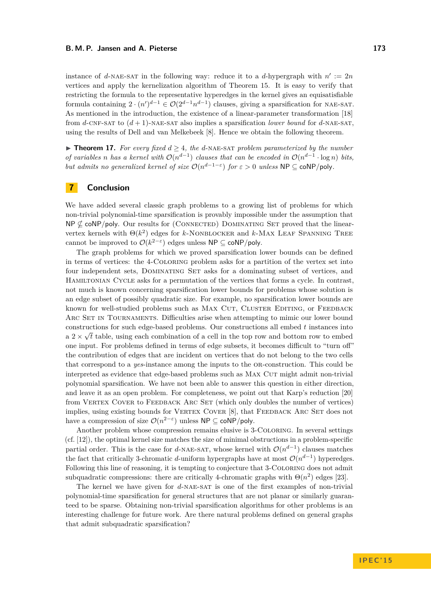instance of *d*-NAE-SAT in the following way: reduce it to a *d*-hypergraph with  $n' := 2n$ vertices and apply the kernelization algorithm of Theorem [15.](#page-9-0) It is easy to verify that restricting the formula to the representative hyperedges in the kernel gives an equisatisfiable formula containing  $2 \cdot (n')^{d-1} \in \mathcal{O}(2^{d-1}n^{d-1})$  clauses, giving a sparsification for NAE-SAT. As mentioned in the introduction, the existence of a linear-parameter transformation [\[18\]](#page-11-21) from *d*-CNF-SAT to  $(d + 1)$ -NAE-SAT also implies a sparsification *lower bound* for *d*-NAE-SAT, using the results of Dell and van Melkebeek [\[8\]](#page-11-2). Hence we obtain the following theorem.

**► Theorem 17.** For every fixed  $d \geq 4$ , the d-NAE-SAT problem parameterized by the number *of variables n has a kernel with*  $\mathcal{O}(n^{d-1})$  *clauses that can be encoded in*  $\mathcal{O}(n^{d-1} \cdot \log n)$  *bits, but admits no generalized kernel of size*  $\mathcal{O}(n^{d-1-\epsilon})$  *for*  $\epsilon > 0$  *unless*  $\mathsf{NP} \subseteq \mathsf{coNP/poly}$ *.* 

## **7 Conclusion**

We have added several classic graph problems to a growing list of problems for which non-trivial polynomial-time sparsification is provably impossible under the assumption that  $NP \not\subset \text{coNP/poly}$ . Our results for (CONNECTED) DOMINATING SET proved that the linearvertex kernels with  $\Theta(k^2)$  edges for *k*-NONBLOCKER and *k*-MAX LEAF SPANNING TREE cannot be improved to  $\mathcal{O}(k^{2-\varepsilon})$  edges unless  $\mathsf{NP} \subseteq \mathsf{coNP/poly}.$ 

The graph problems for which we proved sparsification lower bounds can be defined in terms of vertices: the 4-Coloring problem asks for a partition of the vertex set into four independent sets, DOMINATING SET asks for a dominating subset of vertices, and Hamiltonian Cycle asks for a permutation of the vertices that forms a cycle. In contrast, not much is known concerning sparsification lower bounds for problems whose solution is an edge subset of possibly quadratic size. For example, no sparsification lower bounds are known for well-studied problems such as MAX CUT, CLUSTER EDITING, or FEEDBACK ARC SET IN TOURNAMENTS. Difficulties arise when attempting to mimic our lower bound constructions for such edge-based problems. Our constructions all embed *t* instances into √ a  $2 \times \sqrt{t}$  table, using each combination of a cell in the top row and bottom row to embed one input. For problems defined in terms of edge subsets, it becomes difficult to "turn off" the contribution of edges that are incident on vertices that do not belong to the two cells that correspond to a *yes*-instance among the inputs to the or-construction. This could be interpreted as evidence that edge-based problems such as MAX CUT might admit non-trivial polynomial sparsification. We have not been able to answer this question in either direction, and leave it as an open problem. For completeness, we point out that Karp's reduction [\[20\]](#page-11-19) from VERTEX COVER to FEEDBACK ARC SET (which only doubles the number of vertices) implies, using existing bounds for VERTEX COVER [\[8\]](#page-11-2), that FEEDBACK ARC SET does not have a compression of size  $\mathcal{O}(n^{2-\epsilon})$  unless  $\mathsf{NP} \subseteq \mathsf{coNP/poly}$ .

Another problem whose compression remains elusive is 3-Coloring. In several settings (cf. [\[12\]](#page-11-22)), the optimal kernel size matches the size of minimal obstructions in a problem-specific partial order. This is the case for *d*-NAE-SAT, whose kernel with  $\mathcal{O}(n^{d-1})$  clauses matches the fact that critically 3-chromatic *d*-uniform hypergraphs have at most  $\mathcal{O}(n^{d-1})$  hyperedges. Following this line of reasoning, it is tempting to conjecture that 3-Coloring does not admit subquadratic compressions: there are critically 4-chromatic graphs with  $\Theta(n^2)$  edges [\[23\]](#page-11-23).

The kernel we have given for *d*-nae-sat is one of the first examples of non-trivial polynomial-time sparsification for general structures that are not planar or similarly guaranteed to be sparse. Obtaining non-trivial sparsification algorithms for other problems is an interesting challenge for future work. Are there natural problems defined on general graphs that admit subquadratic sparsification?